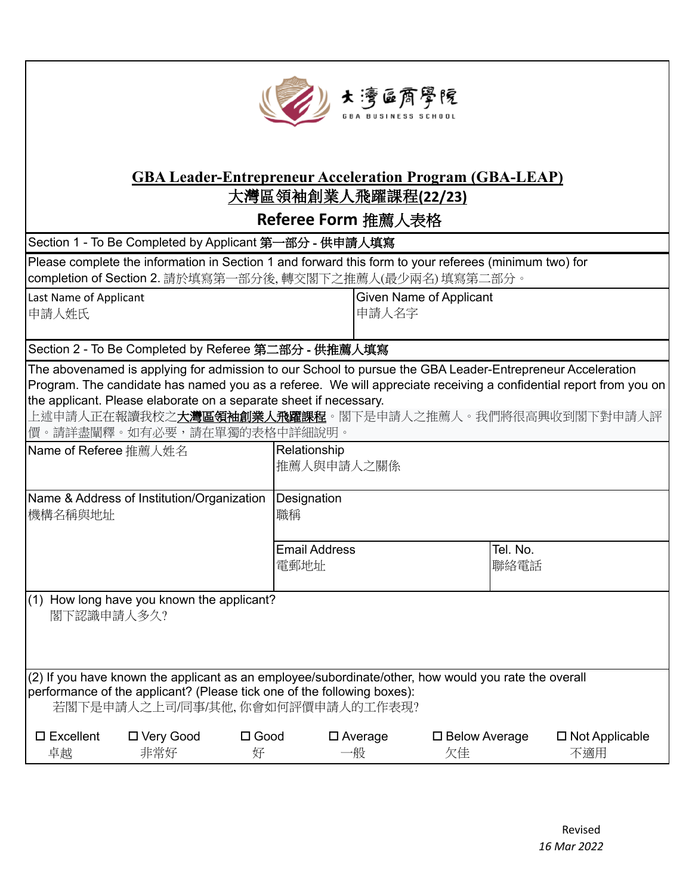

## **GBA Leader-Entrepreneur Acceleration Program (GBA-LEAP)** 大灣區領袖創業人飛躍課程**(22/23)**

**Referee Form** 推薦人表格

| Referee Form 推薦人表格                                                                                                                                                                                                                                                                                                                                                                                |                              |                                         |                                 |  |  |  |  |  |  |  |  |
|---------------------------------------------------------------------------------------------------------------------------------------------------------------------------------------------------------------------------------------------------------------------------------------------------------------------------------------------------------------------------------------------------|------------------------------|-----------------------------------------|---------------------------------|--|--|--|--|--|--|--|--|
| Section 1 - To Be Completed by Applicant 第一部分 - 供申請人填寫                                                                                                                                                                                                                                                                                                                                            |                              |                                         |                                 |  |  |  |  |  |  |  |  |
| Please complete the information in Section 1 and forward this form to your referees (minimum two) for<br>completion of Section 2. 請於填寫第一部分後,轉交閣下之推薦人(最少兩名) 填寫第二部分。                                                                                                                                                                                                                                |                              |                                         |                                 |  |  |  |  |  |  |  |  |
| Last Name of Applicant<br>申請人姓氏                                                                                                                                                                                                                                                                                                                                                                   |                              | <b>Given Name of Applicant</b><br>申請人名字 |                                 |  |  |  |  |  |  |  |  |
| Section 2 - To Be Completed by Referee 第二部分 - 供推薦人填寫                                                                                                                                                                                                                                                                                                                                              |                              |                                         |                                 |  |  |  |  |  |  |  |  |
| The abovenamed is applying for admission to our School to pursue the GBA Leader-Entrepreneur Acceleration<br>Program. The candidate has named you as a referee. We will appreciate receiving a confidential report from you on<br>the applicant. Please elaborate on a separate sheet if necessary.<br>上述申請人正在報讀我校之 <b>大灣區領袖創業人飛躍課程</b> 。閣下是申請人之推薦人。我們將很高興收到閣下對申請人評<br>價。請詳盡闡釋。如有必要,請在單獨的表格中詳細說明。 |                              |                                         |                                 |  |  |  |  |  |  |  |  |
| Name of Referee 推薦人姓名                                                                                                                                                                                                                                                                                                                                                                             | Relationship<br>推薦人與申請人之關係   |                                         |                                 |  |  |  |  |  |  |  |  |
| Name & Address of Institution/Organization<br>機構名稱與地址                                                                                                                                                                                                                                                                                                                                             | Designation<br>職稱            |                                         |                                 |  |  |  |  |  |  |  |  |
|                                                                                                                                                                                                                                                                                                                                                                                                   | <b>Email Address</b><br>電郵地址 |                                         | Tel. No.<br>聯絡電話                |  |  |  |  |  |  |  |  |
| (1) How long have you known the applicant?<br>閣下認識申請人多久?                                                                                                                                                                                                                                                                                                                                          |                              |                                         |                                 |  |  |  |  |  |  |  |  |
| (2) If you have known the applicant as an employee/subordinate/other, how would you rate the overall<br>performance of the applicant? (Please tick one of the following boxes):<br>若閣下是申請人之上司/同事/其他,你會如何評價申請人的工作表現?                                                                                                                                                                               |                              |                                         |                                 |  |  |  |  |  |  |  |  |
| $\square$ Excellent<br>□ Very Good<br>$\square$ Good<br>非常好<br>卓越<br>好                                                                                                                                                                                                                                                                                                                            | $\square$ Average<br>一般      | $\square$ Below Average<br>欠佳           | $\square$ Not Applicable<br>不適用 |  |  |  |  |  |  |  |  |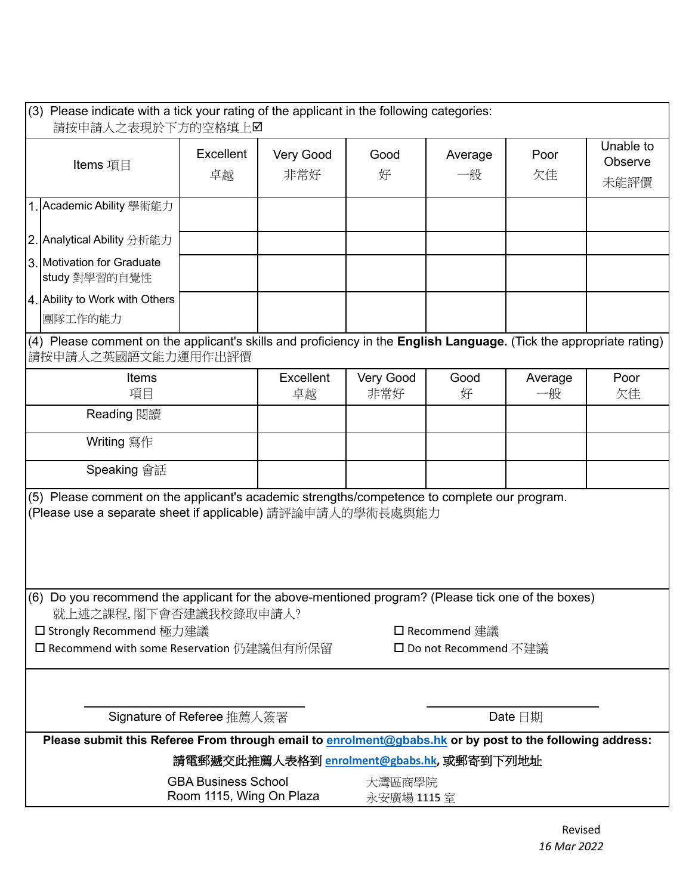| $(3)$ Please indicate with a tick your rating of the applicant in the following categories:<br>請按申請人之表現於下方的空格填上Ø                                           |                                             |                 |                  |           |               |            |                              |  |  |  |
|------------------------------------------------------------------------------------------------------------------------------------------------------------|---------------------------------------------|-----------------|------------------|-----------|---------------|------------|------------------------------|--|--|--|
|                                                                                                                                                            | Items 項目                                    | Excellent<br>卓越 | Very Good<br>非常好 | Good<br>好 | Average<br>一般 | Poor<br>欠佳 | Unable to<br>Observe<br>未能評價 |  |  |  |
|                                                                                                                                                            | 1. Academic Ability 學術能力                    |                 |                  |           |               |            |                              |  |  |  |
|                                                                                                                                                            | 2. Analytical Ability 分析能力                  |                 |                  |           |               |            |                              |  |  |  |
|                                                                                                                                                            | 3. Motivation for Graduate<br>study 對學習的自覺性 |                 |                  |           |               |            |                              |  |  |  |
|                                                                                                                                                            | 4. Ability to Work with Others<br>團隊工作的能力   |                 |                  |           |               |            |                              |  |  |  |
| $(4)$ Please comment on the applicant's skills and proficiency in the <b>English Language.</b> (Tick the appropriate rating)<br>請按申請人之英國語文能力運用作出評價         |                                             |                 |                  |           |               |            |                              |  |  |  |
| Items<br>項目                                                                                                                                                |                                             | Excellent<br>卓越 | Very Good<br>非常好 | Good<br>好 | Average<br>一般 | Poor<br>欠佳 |                              |  |  |  |
| Reading 閱讀                                                                                                                                                 |                                             |                 |                  |           |               |            |                              |  |  |  |
| Writing 寫作                                                                                                                                                 |                                             |                 |                  |           |               |            |                              |  |  |  |
| Speaking 會話                                                                                                                                                |                                             |                 |                  |           |               |            |                              |  |  |  |
| (5) Please comment on the applicant's academic strengths/competence to complete our program.<br>(Please use a separate sheet if applicable) 請評論申請人的學術長處與能力 |                                             |                 |                  |           |               |            |                              |  |  |  |
| $(6)$ Do you recommend the applicant for the above-mentioned program? (Please tick one of the boxes)<br>就上述之課程, 閣下會否建議我校錄取申請人?                             |                                             |                 |                  |           |               |            |                              |  |  |  |
| □ Strongly Recommend 極力建議<br>□ Recommend 建議                                                                                                                |                                             |                 |                  |           |               |            |                              |  |  |  |
| □ Recommend with some Reservation 仍建議但有所保留<br>□ Do not Recommend 不建議                                                                                       |                                             |                 |                  |           |               |            |                              |  |  |  |
|                                                                                                                                                            |                                             |                 |                  |           |               |            |                              |  |  |  |
| Signature of Referee 推薦人簽署                                                                                                                                 |                                             |                 |                  |           | Date 日期       |            |                              |  |  |  |
| Please submit this Referee From through email to enrolment@gbabs.hk or by post to the following address:                                                   |                                             |                 |                  |           |               |            |                              |  |  |  |
| 請電郵遞交此推薦人表格到 enrolment@gbabs.hk, 或郵寄到下列地址<br><b>GBA Business School</b><br>大灣區商學院<br>Room 1115, Wing On Plaza<br>永安廣場 1115室                                |                                             |                 |                  |           |               |            |                              |  |  |  |